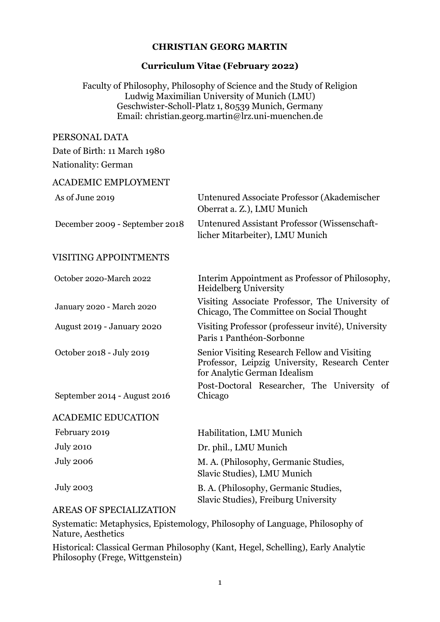### CHRISTIAN GEORG MARTIN

#### Curriculum Vitae (February 2022)

Faculty of Philosophy, Philosophy of Science and the Study of Religion Ludwig Maximilian University of Munich (LMU) Geschwister-Scholl-Platz 1, 80539 Munich, Germany Email: christian.georg.martin@lrz.uni-muenchen.de

### PERSONAL DATA

Date of Birth: 11 March 1980

#### Nationality: German

#### ACADEMIC EMPLOYMENT

| As of June 2019                | Untenured Associate Professor (Akademischer<br>Oberrat a. Z.), LMU Munich                                                      |
|--------------------------------|--------------------------------------------------------------------------------------------------------------------------------|
| December 2009 - September 2018 | <b>Untenured Assistant Professor (Wissenschaft-</b><br>licher Mitarbeiter), LMU Munich                                         |
| <b>VISITING APPOINTMENTS</b>   |                                                                                                                                |
| October 2020-March 2022        | Interim Appointment as Professor of Philosophy,<br><b>Heidelberg University</b>                                                |
| January 2020 - March 2020      | Visiting Associate Professor, The University of<br>Chicago, The Committee on Social Thought                                    |
| August 2019 - January 2020     | Visiting Professor (professeur invité), University<br>Paris 1 Panthéon-Sorbonne                                                |
| October 2018 - July 2019       | Senior Visiting Research Fellow and Visiting<br>Professor, Leipzig University, Research Center<br>for Analytic German Idealism |
| September 2014 - August 2016   | Post-Doctoral Researcher, The University of<br>Chicago                                                                         |
| <b>ACADEMIC EDUCATION</b>      |                                                                                                                                |
| February 2019                  | Habilitation, LMU Munich                                                                                                       |
| <b>July 2010</b>               | Dr. phil., LMU Munich                                                                                                          |
| <b>July 2006</b>               | M. A. (Philosophy, Germanic Studies,<br>Slavic Studies), LMU Munich                                                            |
| <b>July 2003</b>               | B. A. (Philosophy, Germanic Studies,<br>Slavic Studies), Freiburg University                                                   |

#### AREAS OF SPECIALIZATION

Systematic: Metaphysics, Epistemology, Philosophy of Language, Philosophy of Nature, Aesthetics

Historical: Classical German Philosophy (Kant, Hegel, Schelling), Early Analytic Philosophy (Frege, Wittgenstein)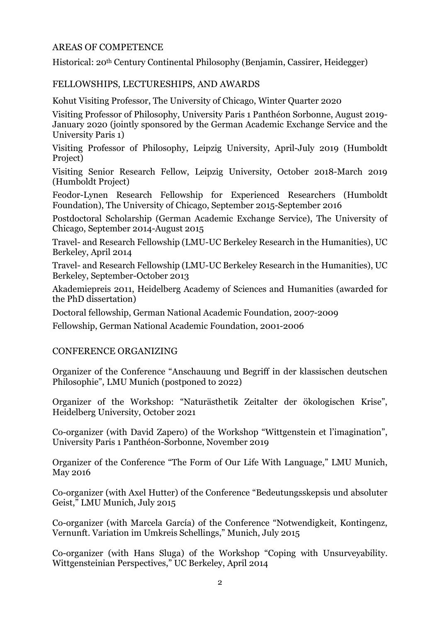### AREAS OF COMPETENCE

Historical: 20th Century Continental Philosophy (Benjamin, Cassirer, Heidegger)

## FELLOWSHIPS, LECTURESHIPS, AND AWARDS

Kohut Visiting Professor, The University of Chicago, Winter Quarter 2020

Visiting Professor of Philosophy, University Paris 1 Panthéon Sorbonne, August 2019- January 2020 (jointly sponsored by the German Academic Exchange Service and the University Paris 1)

Visiting Professor of Philosophy, Leipzig University, April-July 2019 (Humboldt Project)

Visiting Senior Research Fellow, Leipzig University, October 2018-March 2019 (Humboldt Project)

Feodor-Lynen Research Fellowship for Experienced Researchers (Humboldt Foundation), The University of Chicago, September 2015-September 2016

Postdoctoral Scholarship (German Academic Exchange Service), The University of Chicago, September 2014-August 2015

Travel- and Research Fellowship (LMU-UC Berkeley Research in the Humanities), UC Berkeley, April 2014

Travel- and Research Fellowship (LMU-UC Berkeley Research in the Humanities), UC Berkeley, September-October 2013

Akademiepreis 2011, Heidelberg Academy of Sciences and Humanities (awarded for the PhD dissertation)

Doctoral fellowship, German National Academic Foundation, 2007-2009

Fellowship, German National Academic Foundation, 2001-2006

#### CONFERENCE ORGANIZING

Organizer of the Conference "Anschauung und Begriff in der klassischen deutschen Philosophie", LMU Munich (postponed to 2022)

Organizer of the Workshop: "Naturästhetik Zeitalter der ökologischen Krise", Heidelberg University, October 2021

Co-organizer (with David Zapero) of the Workshop "Wittgenstein et l'imagination", University Paris 1 Panthéon-Sorbonne, November 2019

Organizer of the Conference "The Form of Our Life With Language," LMU Munich, May 2016

Co-organizer (with Axel Hutter) of the Conference "Bedeutungsskepsis und absoluter Geist," LMU Munich, July 2015

Co-organizer (with Marcela García) of the Conference "Notwendigkeit, Kontingenz, Vernunft. Variation im Umkreis Schellings," Munich, July 2015

Co-organizer (with Hans Sluga) of the Workshop "Coping with Unsurveyability. Wittgensteinian Perspectives," UC Berkeley, April 2014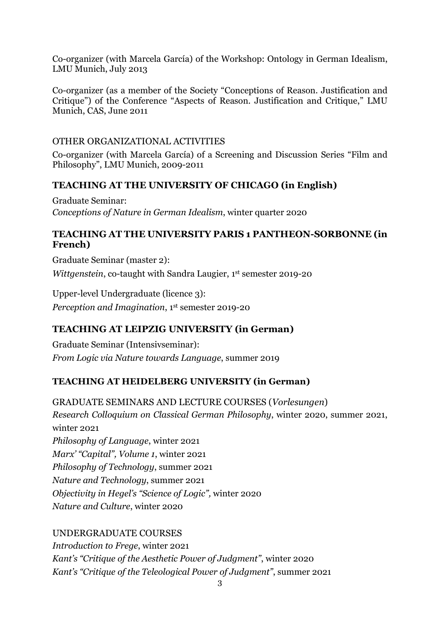Co-organizer (with Marcela García) of the Workshop: Ontology in German Idealism, LMU Munich, July 2013

Co-organizer (as a member of the Society "Conceptions of Reason. Justification and Critique") of the Conference "Aspects of Reason. Justification and Critique," LMU Munich, CAS, June 2011

# OTHER ORGANIZATIONAL ACTIVITIES

Co-organizer (with Marcela García) of a Screening and Discussion Series "Film and Philosophy", LMU Munich, 2009-2011

# TEACHING AT THE UNIVERSITY OF CHICAGO (in English)

Graduate Seminar: Conceptions of Nature in German Idealism, winter quarter 2020

# TEACHING AT THE UNIVERSITY PARIS 1 PANTHEON-SORBONNE (in French)

Graduate Seminar (master 2): Wittgenstein, co-taught with Sandra Laugier, 1<sup>st</sup> semester 2019-20

Upper-level Undergraduate (licence 3): Perception and Imagination, 1st semester 2019-20

# TEACHING AT LEIPZIG UNIVERSITY (in German)

Graduate Seminar (Intensivseminar): From Logic via Nature towards Language, summer 2019

# TEACHING AT HEIDELBERG UNIVERSITY (in German)

GRADUATE SEMINARS AND LECTURE COURSES (Vorlesungen) Research Colloquium on Classical German Philosophy, winter 2020, summer 2021, winter 2021 Philosophy of Language, winter 2021 Marx' "Capital", Volume 1, winter 2021 Philosophy of Technology, summer 2021 Nature and Technology, summer 2021 Objectivity in Hegel's "Science of Logic", winter 2020 Nature and Culture, winter 2020

# UNDERGRADUATE COURSES

Introduction to Frege, winter 2021 Kant's "Critique of the Aesthetic Power of Judgment", winter 2020 Kant's "Critique of the Teleological Power of Judgment", summer 2021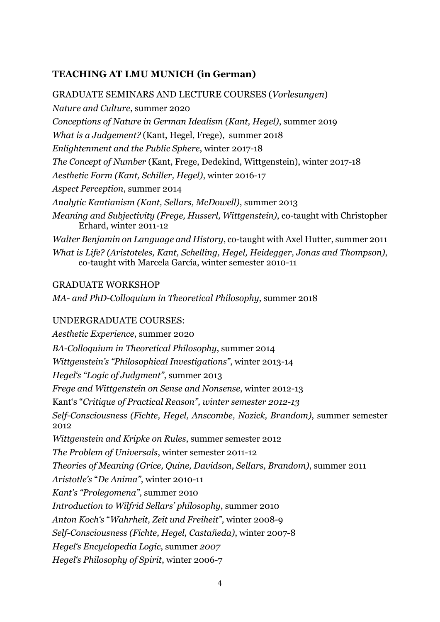# TEACHING AT LMU MUNICH (in German)

GRADUATE SEMINARS AND LECTURE COURSES (Vorlesungen) Nature and Culture, summer 2020 Conceptions of Nature in German Idealism (Kant, Hegel), summer 2019 What is a Judgement? (Kant, Hegel, Frege), summer 2018 Enlightenment and the Public Sphere, winter 2017-18 The Concept of Number (Kant, Frege, Dedekind, Wittgenstein), winter 2017-18 Aesthetic Form (Kant, Schiller, Hegel), winter 2016-17 Aspect Perception, summer 2014 Analytic Kantianism (Kant, Sellars, McDowell), summer 2013 Meaning and Subjectivity (Frege, Husserl, Wittgenstein), co-taught with Christopher Erhard, winter 2011-12 Walter Benjamin on Language and History, co-taught with Axel Hutter, summer 2011 What is Life? (Aristoteles, Kant, Schelling, Hegel, Heidegger, Jonas and Thompson), co-taught with Marcela García, winter semester 2010-11

# GRADUATE WORKSHOP

MA- and PhD-Colloquium in Theoretical Philosophy, summer 2018

# UNDERGRADUATE COURSES:

Aesthetic Experience, summer 2020 BA-Colloquium in Theoretical Philosophy, summer 2014 Wittgenstein's "Philosophical Investigations", winter 2013-14 Hegel's "Logic of Judgment", summer 2013 Frege and Wittgenstein on Sense and Nonsense, winter 2012-13 Kant's "Critique of Practical Reason", winter semester 2012-13 Self-Consciousness (Fichte, Hegel, Anscombe, Nozick, Brandom), summer semester 2012 Wittgenstein and Kripke on Rules, summer semester 2012 The Problem of Universals, winter semester 2011-12 Theories of Meaning (Grice, Quine, Davidson, Sellars, Brandom), summer 2011 Aristotle's "De Anima", winter 2010-11 Kant's "Prolegomena", summer 2010 Introduction to Wilfrid Sellars' philosophy, summer 2010 Anton Koch's "Wahrheit, Zeit und Freiheit", winter 2008-9 Self-Consciousness (Fichte, Hegel, Castañeda), winter 2007-8 Hegel's Encyclopedia Logic, summer 2007 Hegel's Philosophy of Spirit, winter 2006-7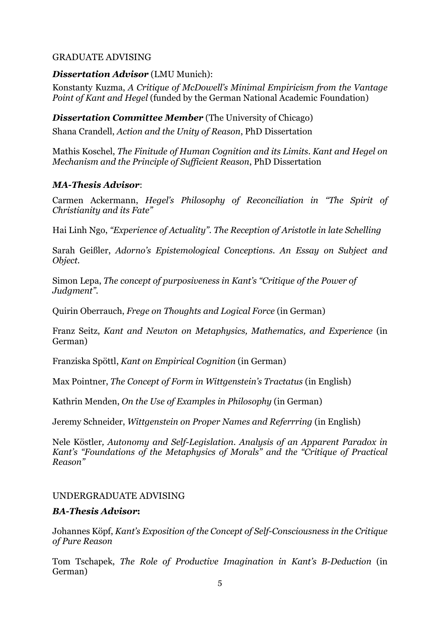## GRADUATE ADVISING

### Dissertation Advisor (LMU Munich):

Konstanty Kuzma, A Critique of McDowell's Minimal Empiricism from the Vantage Point of Kant and Hegel (funded by the German National Academic Foundation)

### **Dissertation Committee Member** (The University of Chicago)

Shana Crandell, Action and the Unity of Reason, PhD Dissertation

Mathis Koschel, The Finitude of Human Cognition and its Limits. Kant and Hegel on Mechanism and the Principle of Sufficient Reason, PhD Dissertation

#### MA-Thesis Advisor:

Carmen Ackermann, Hegel's Philosophy of Reconciliation in "The Spirit of Christianity and its Fate"

Hai Linh Ngo, "Experience of Actuality". The Reception of Aristotle in late Schelling

Sarah Geißler, Adorno's Epistemological Conceptions. An Essay on Subject and Object.

Simon Lepa, The concept of purposiveness in Kant's "Critique of the Power of Judgment".

Quirin Oberrauch, Frege on Thoughts and Logical Force (in German)

Franz Seitz, Kant and Newton on Metaphysics, Mathematics, and Experience (in German)

Franziska Spöttl, Kant on Empirical Cognition (in German)

Max Pointner, The Concept of Form in Wittgenstein's Tractatus (in English)

Kathrin Menden, On the Use of Examples in Philosophy (in German)

Jeremy Schneider, Wittgenstein on Proper Names and Referrring (in English)

Nele Köstler, Autonomy and Self-Legislation. Analysis of an Apparent Paradox in Kant's "Foundations of the Metaphysics of Morals" and the "Critique of Practical Reason"

#### UNDERGRADUATE ADVISING

#### BA-Thesis Advisor:

Johannes Köpf, Kant's Exposition of the Concept of Self-Consciousness in the Critique of Pure Reason

Tom Tschapek, The Role of Productive Imagination in Kant's B-Deduction (in German)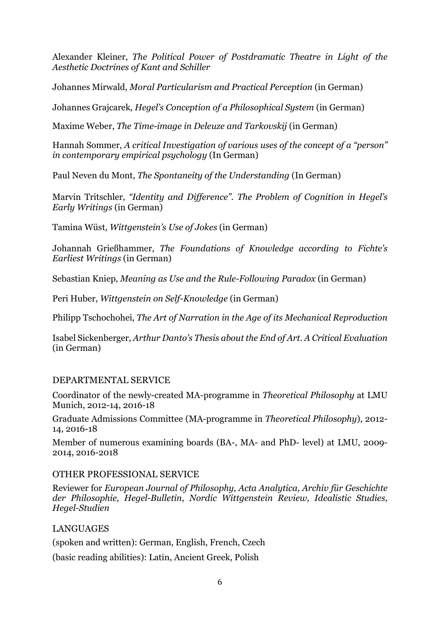Alexander Kleiner, The Political Power of Postdramatic Theatre in Light of the Aesthetic Doctrines of Kant and Schiller

Johannes Mirwald, Moral Particularism and Practical Perception (in German)

Johannes Grajcarek, Hegel's Conception of a Philosophical System (in German)

Maxime Weber, The Time-image in Deleuze and Tarkovskij (in German)

Hannah Sommer, A critical Investigation of various uses of the concept of a "person" in contemporary empirical psychology (In German)

Paul Neven du Mont, The Spontaneity of the Understanding (In German)

Marvin Tritschler, "Identity and Difference". The Problem of Cognition in Hegel's Early Writings (in German)

Tamina Wüst, Wittgenstein's Use of Jokes (in German)

Johannah Grießhammer, The Foundations of Knowledge according to Fichte's Earliest Writings (in German)

Sebastian Kniep, Meaning as Use and the Rule-Following Paradox (in German)

Peri Huber, Wittgenstein on Self-Knowledge (in German)

Philipp Tschochohei, The Art of Narration in the Age of its Mechanical Reproduction

Isabel Sickenberger, Arthur Danto's Thesis about the End of Art. A Critical Evaluation (in German)

# DEPARTMENTAL SERVICE

Coordinator of the newly-created MA-programme in Theoretical Philosophy at LMU Munich, 2012-14, 2016-18

Graduate Admissions Committee (MA-programme in Theoretical Philosophy), 2012- 14, 2016-18

Member of numerous examining boards (BA-, MA- and PhD- level) at LMU, 2009- 2014, 2016-2018

# OTHER PROFESSIONAL SERVICE

Reviewer for European Journal of Philosophy, Acta Analytica, Archiv für Geschichte der Philosophie, Hegel-Bulletin, Nordic Wittgenstein Review, Idealistic Studies, Hegel-Studien

# LANGUAGES

(spoken and written): German, English, French, Czech

(basic reading abilities): Latin, Ancient Greek, Polish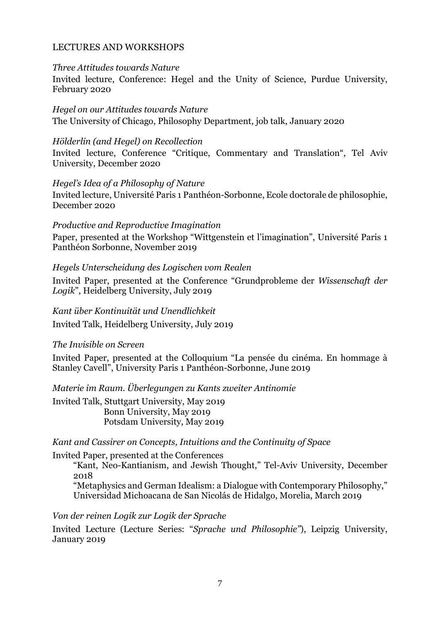## LECTURES AND WORKSHOPS

#### Three Attitudes towards Nature

Invited lecture, Conference: Hegel and the Unity of Science, Purdue University, February 2020

Hegel on our Attitudes towards Nature

The University of Chicago, Philosophy Department, job talk, January 2020

#### Hölderlin (and Hegel) on Recollection

Invited lecture, Conference "Critique, Commentary and Translation", Tel Aviv University, December 2020

#### Hegel's Idea of a Philosophy of Nature

Invited lecture, Université Paris 1 Panthéon-Sorbonne, Ecole doctorale de philosophie, December 2020

#### Productive and Reproductive Imagination

Paper, presented at the Workshop "Wittgenstein et l'imagination", Université Paris 1 Panthéon Sorbonne, November 2019

### Hegels Unterscheidung des Logischen vom Realen

Invited Paper, presented at the Conference "Grundprobleme der Wissenschaft der Logik", Heidelberg University, July 2019

#### Kant über Kontinuität und Unendlichkeit

Invited Talk, Heidelberg University, July 2019

#### The Invisible on Screen

Invited Paper, presented at the Colloquium "La pensée du cinéma. En hommage à Stanley Cavell", University Paris 1 Panthéon-Sorbonne, June 2019

Materie im Raum. Überlegungen zu Kants zweiter Antinomie

Invited Talk, Stuttgart University, May 2019 Bonn University, May 2019 Potsdam University, May 2019

Kant and Cassirer on Concepts, Intuitions and the Continuity of Space

#### Invited Paper, presented at the Conferences

"Kant, Neo-Kantianism, and Jewish Thought," Tel-Aviv University, December 2018

"Metaphysics and German Idealism: a Dialogue with Contemporary Philosophy," Universidad Michoacana de San Nicolás de Hidalgo, Morelia, March 2019

Von der reinen Logik zur Logik der Sprache

Invited Lecture (Lecture Series: "Sprache und Philosophie"), Leipzig University, January 2019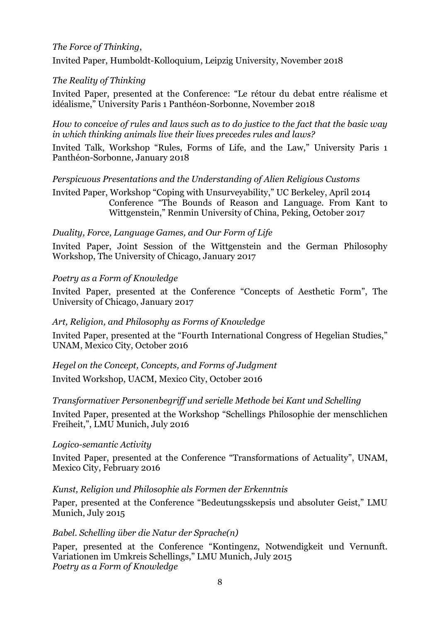# The Force of Thinking,

Invited Paper, Humboldt-Kolloquium, Leipzig University, November 2018

# The Reality of Thinking

Invited Paper, presented at the Conference: "Le rétour du debat entre réalisme et idéalisme," University Paris 1 Panthéon-Sorbonne, November 2018

How to conceive of rules and laws such as to do justice to the fact that the basic way in which thinking animals live their lives precedes rules and laws?

Invited Talk, Workshop "Rules, Forms of Life, and the Law," University Paris 1 Panthéon-Sorbonne, January 2018

Perspicuous Presentations and the Understanding of Alien Religious Customs

Invited Paper, Workshop "Coping with Unsurveyability," UC Berkeley, April 2014 Conference "The Bounds of Reason and Language. From Kant to Wittgenstein," Renmin University of China, Peking, October 2017

# Duality, Force, Language Games, and Our Form of Life

Invited Paper, Joint Session of the Wittgenstein and the German Philosophy Workshop, The University of Chicago, January 2017

# Poetry as a Form of Knowledge

Invited Paper, presented at the Conference "Concepts of Aesthetic Form", The University of Chicago, January 2017

# Art, Religion, and Philosophy as Forms of Knowledge

Invited Paper, presented at the "Fourth International Congress of Hegelian Studies," UNAM, Mexico City, October 2016

Hegel on the Concept, Concepts, and Forms of Judgment

Invited Workshop, UACM, Mexico City, October 2016

# Transformativer Personenbegriff und serielle Methode bei Kant und Schelling

Invited Paper, presented at the Workshop "Schellings Philosophie der menschlichen Freiheit,", LMU Munich, July 2016

# Logico-semantic Activity

Invited Paper, presented at the Conference "Transformations of Actuality", UNAM, Mexico City, February 2016

# Kunst, Religion und Philosophie als Formen der Erkenntnis

Paper, presented at the Conference "Bedeutungsskepsis und absoluter Geist," LMU Munich, July 2015

# Babel. Schelling über die Natur der Sprache(n)

Paper, presented at the Conference "Kontingenz, Notwendigkeit und Vernunft. Variationen im Umkreis Schellings," LMU Munich, July 2015 Poetry as a Form of Knowledge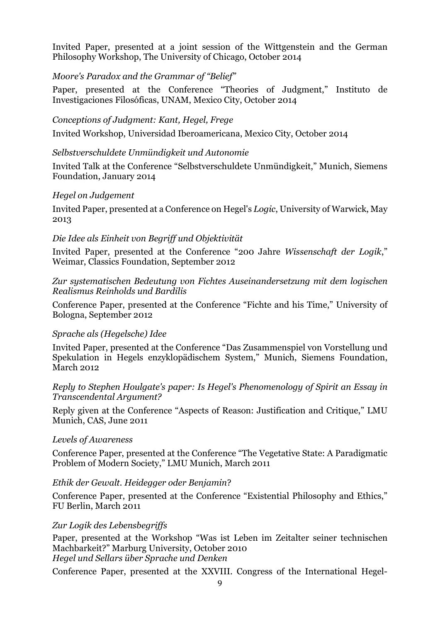Invited Paper, presented at a joint session of the Wittgenstein and the German Philosophy Workshop, The University of Chicago, October 2014

### Moore's Paradox and the Grammar of "Belief"

Paper, presented at the Conference "Theories of Judgment," Instituto de Investigaciones Filosóficas, UNAM, Mexico City, October 2014

### Conceptions of Judgment: Kant, Hegel, Frege

Invited Workshop, Universidad Iberoamericana, Mexico City, October 2014

## Selbstverschuldete Unmündigkeit und Autonomie

Invited Talk at the Conference "Selbstverschuldete Unmündigkeit," Munich, Siemens Foundation, January 2014

### Hegel on Judgement

Invited Paper, presented at a Conference on Hegel's Logic, University of Warwick, May 2013

# Die Idee als Einheit von Begriff und Objektivität

Invited Paper, presented at the Conference "200 Jahre Wissenschaft der Logik," Weimar, Classics Foundation, September 2012

#### Zur systematischen Bedeutung von Fichtes Auseinandersetzung mit dem logischen Realismus Reinholds und Bardilis

Conference Paper, presented at the Conference "Fichte and his Time," University of Bologna, September 2012

#### Sprache als (Hegelsche) Idee

Invited Paper, presented at the Conference "Das Zusammenspiel von Vorstellung und Spekulation in Hegels enzyklopädischem System," Munich, Siemens Foundation, March 2012

#### Reply to Stephen Houlgate's paper: Is Hegel's Phenomenology of Spirit an Essay in Transcendental Argument?

Reply given at the Conference "Aspects of Reason: Justification and Critique," LMU Munich, CAS, June 2011

#### Levels of Awareness

Conference Paper, presented at the Conference "The Vegetative State: A Paradigmatic Problem of Modern Society," LMU Munich, March 2011

# Ethik der Gewalt. Heidegger oder Benjamin?

Conference Paper, presented at the Conference "Existential Philosophy and Ethics," FU Berlin, March 2011

# Zur Logik des Lebensbegriffs

Paper, presented at the Workshop "Was ist Leben im Zeitalter seiner technischen Machbarkeit?" Marburg University, October 2010 Hegel und Sellars über Sprache und Denken

Conference Paper, presented at the XXVIII. Congress of the International Hegel-